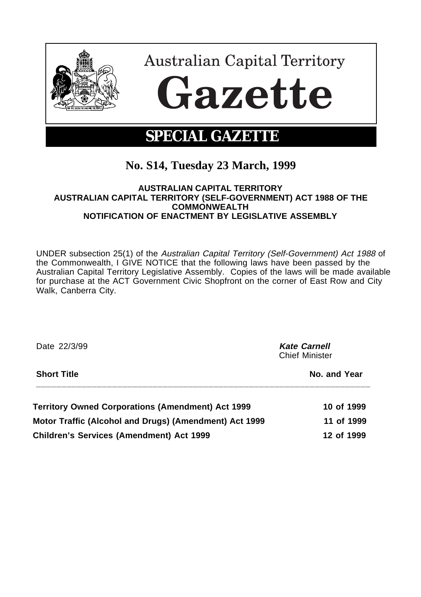

# **No. S14, Tuesday 23 March, 1999**

#### **AUSTRALIAN CAPITAL TERRITORY AUSTRALIAN CAPITAL TERRITORY (SELF-GOVERNMENT) ACT 1988 OF THE COMMONWEALTH NOTIFICATION OF ENACTMENT BY LEGISLATIVE ASSEMBLY**

UNDER subsection 25(1) of the Australian Capital Territory (Self-Government) Act 1988 of the Commonwealth, I GIVE NOTICE that the following laws have been passed by the Australian Capital Territory Legislative Assembly. Copies of the laws will be made available for purchase at the ACT Government Civic Shopfront on the corner of East Row and City Walk, Canberra City.

| Date 22/3/99                                           | <b>Kate Carnell</b><br><b>Chief Minister</b> |
|--------------------------------------------------------|----------------------------------------------|
| <b>Short Title</b>                                     | No. and Year                                 |
| Territory Owned Corporations (Amendment) Act 1999      | 10 of 1999                                   |
| Motor Traffic (Alcohol and Drugs) (Amendment) Act 1999 | 11 of 1999                                   |
| <b>Children's Services (Amendment) Act 1999</b>        | 12 of 1999                                   |